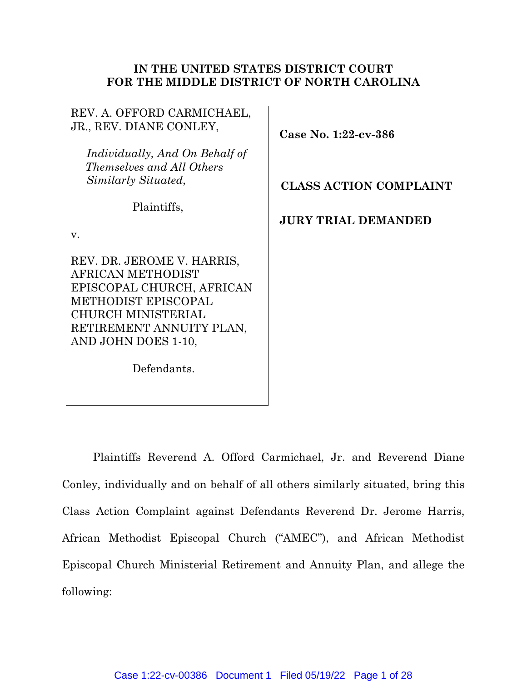# **IN THE UNITED STATES DISTRICT COURT FOR THE MIDDLE DISTRICT OF NORTH CAROLINA**

| REV. A. OFFORD CARMICHAEL,<br>JR., REV. DIANE CONLEY,                                                                                                                                      | Case No. $1:22$ -cv-386       |
|--------------------------------------------------------------------------------------------------------------------------------------------------------------------------------------------|-------------------------------|
| Individually, And On Behalf of<br>Themselves and All Others<br>Similarly Situated,                                                                                                         | <b>CLASS ACTION COMPLAINT</b> |
| Plaintiffs,<br>V.                                                                                                                                                                          | <b>JURY TRIAL DEMANDED</b>    |
| REV. DR. JEROME V. HARRIS,<br>AFRICAN METHODIST<br>EPISCOPAL CHURCH, AFRICAN<br><b>METHODIST EPISCOPAL</b><br><b>CHURCH MINISTERIAL</b><br>RETIREMENT ANNUITY PLAN,<br>AND JOHN DOES 1-10, |                               |

Defendants.

Plaintiffs Reverend A. Offord Carmichael, Jr. and Reverend Diane Conley, individually and on behalf of all others similarly situated, bring this Class Action Complaint against Defendants Reverend Dr. Jerome Harris, African Methodist Episcopal Church ("AMEC"), and African Methodist Episcopal Church Ministerial Retirement and Annuity Plan, and allege the following: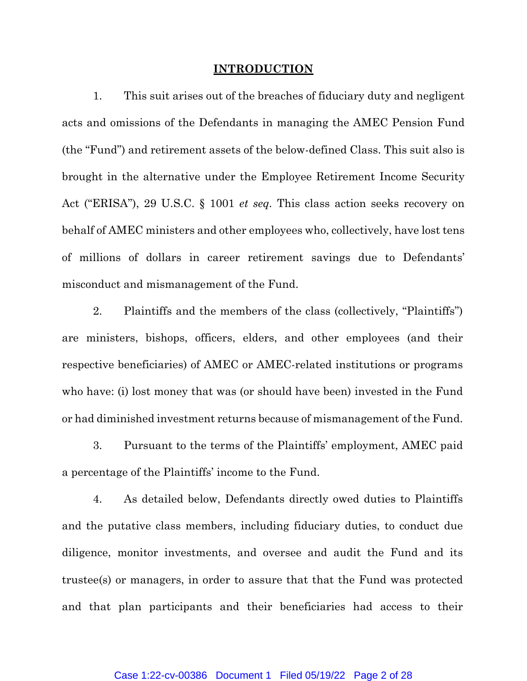### **INTRODUCTION**

1. This suit arises out of the breaches of fiduciary duty and negligent acts and omissions of the Defendants in managing the AMEC Pension Fund (the "Fund") and retirement assets of the below-defined Class. This suit also is brought in the alternative under the Employee Retirement Income Security Act ("ERISA"), 29 U.S.C. § 1001 *et seq.* This class action seeks recovery on behalf of AMEC ministers and other employees who, collectively, have lost tens of millions of dollars in career retirement savings due to Defendants' misconduct and mismanagement of the Fund.

2. Plaintiffs and the members of the class (collectively, "Plaintiffs") are ministers, bishops, officers, elders, and other employees (and their respective beneficiaries) of AMEC or AMEC-related institutions or programs who have: (i) lost money that was (or should have been) invested in the Fund or had diminished investment returns because of mismanagement of the Fund.

3. Pursuant to the terms of the Plaintiffs' employment, AMEC paid a percentage of the Plaintiffs' income to the Fund.

4. As detailed below, Defendants directly owed duties to Plaintiffs and the putative class members, including fiduciary duties, to conduct due diligence, monitor investments, and oversee and audit the Fund and its trustee(s) or managers, in order to assure that that the Fund was protected and that plan participants and their beneficiaries had access to their

### Case 1:22-cv-00386 Document 1 Filed 05/19/22 Page 2 of 28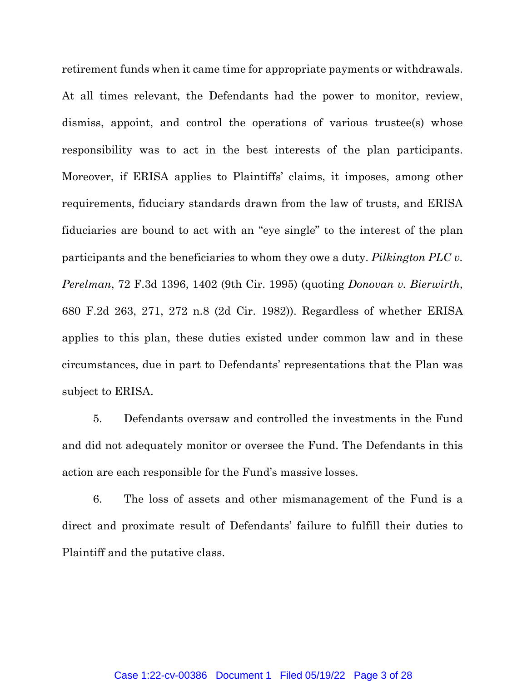retirement funds when it came time for appropriate payments or withdrawals. At all times relevant, the Defendants had the power to monitor, review, dismiss, appoint, and control the operations of various trustee(s) whose responsibility was to act in the best interests of the plan participants. Moreover, if ERISA applies to Plaintiffs' claims, it imposes, among other requirements, fiduciary standards drawn from the law of trusts, and ERISA fiduciaries are bound to act with an "eye single" to the interest of the plan participants and the beneficiaries to whom they owe a duty. *Pilkington PLC v. Perelman*, 72 F.3d 1396, 1402 (9th Cir. 1995) (quoting *Donovan v. Bierwirth*, 680 F.2d 263, 271, 272 n.8 (2d Cir. 1982)). Regardless of whether ERISA applies to this plan, these duties existed under common law and in these circumstances, due in part to Defendants' representations that the Plan was subject to ERISA.

5. Defendants oversaw and controlled the investments in the Fund and did not adequately monitor or oversee the Fund. The Defendants in this action are each responsible for the Fund's massive losses.

6. The loss of assets and other mismanagement of the Fund is a direct and proximate result of Defendants' failure to fulfill their duties to Plaintiff and the putative class.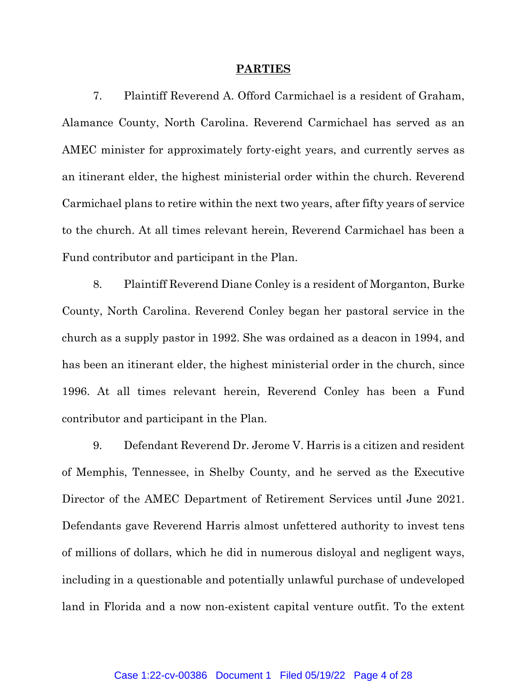#### **PARTIES**

7. Plaintiff Reverend A. Offord Carmichael is a resident of Graham, Alamance County, North Carolina. Reverend Carmichael has served as an AMEC minister for approximately forty-eight years, and currently serves as an itinerant elder, the highest ministerial order within the church. Reverend Carmichael plans to retire within the next two years, after fifty years of service to the church. At all times relevant herein, Reverend Carmichael has been a Fund contributor and participant in the Plan.

8. Plaintiff Reverend Diane Conley is a resident of Morganton, Burke County, North Carolina. Reverend Conley began her pastoral service in the church as a supply pastor in 1992. She was ordained as a deacon in 1994, and has been an itinerant elder, the highest ministerial order in the church, since 1996. At all times relevant herein, Reverend Conley has been a Fund contributor and participant in the Plan.

9. Defendant Reverend Dr. Jerome V. Harris is a citizen and resident of Memphis, Tennessee, in Shelby County, and he served as the Executive Director of the AMEC Department of Retirement Services until June 2021. Defendants gave Reverend Harris almost unfettered authority to invest tens of millions of dollars, which he did in numerous disloyal and negligent ways, including in a questionable and potentially unlawful purchase of undeveloped land in Florida and a now non-existent capital venture outfit. To the extent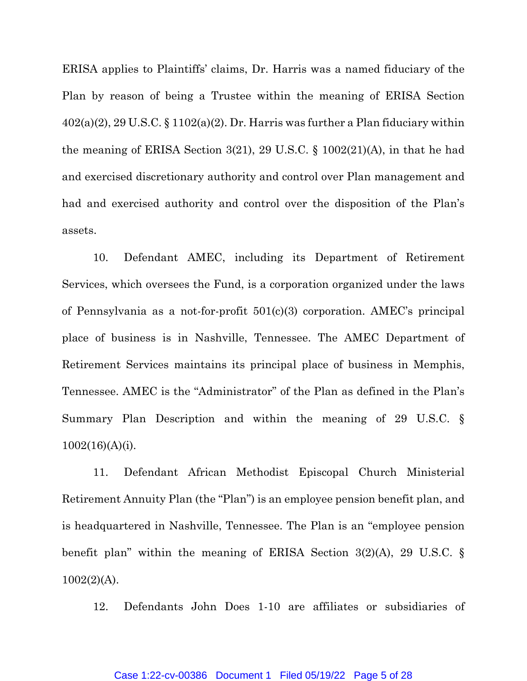ERISA applies to Plaintiffs' claims, Dr. Harris was a named fiduciary of the Plan by reason of being a Trustee within the meaning of ERISA Section  $402(a)(2)$ ,  $29 U.S.C. \S 1102(a)(2)$ . Dr. Harris was further a Plan fiduciary within the meaning of ERISA Section 3(21), 29 U.S.C. § 1002(21)(A), in that he had and exercised discretionary authority and control over Plan management and had and exercised authority and control over the disposition of the Plan's assets.

10. Defendant AMEC, including its Department of Retirement Services, which oversees the Fund, is a corporation organized under the laws of Pennsylvania as a not-for-profit 501(c)(3) corporation. AMEC's principal place of business is in Nashville, Tennessee. The AMEC Department of Retirement Services maintains its principal place of business in Memphis, Tennessee. AMEC is the "Administrator" of the Plan as defined in the Plan's Summary Plan Description and within the meaning of 29 U.S.C. § 1002(16)(A)(i).

11. Defendant African Methodist Episcopal Church Ministerial Retirement Annuity Plan (the "Plan") is an employee pension benefit plan, and is headquartered in Nashville, Tennessee. The Plan is an "employee pension benefit plan" within the meaning of ERISA Section 3(2)(A), 29 U.S.C. §  $1002(2)(A)$ .

12. Defendants John Does 1-10 are affiliates or subsidiaries of

#### Case 1:22-cv-00386 Document 1 Filed 05/19/22 Page 5 of 28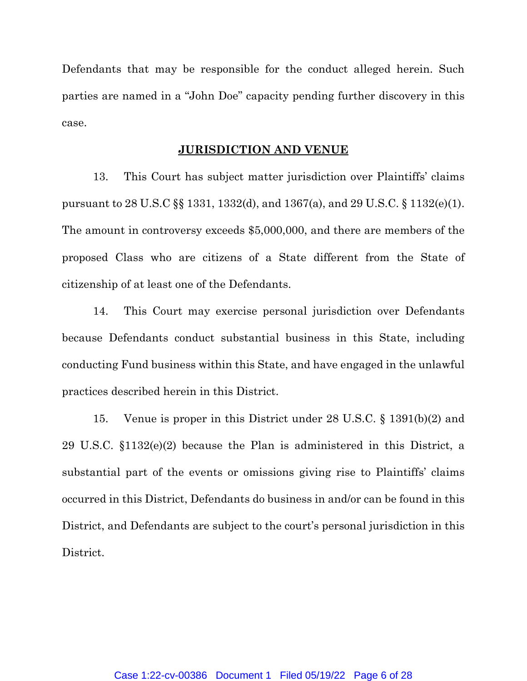Defendants that may be responsible for the conduct alleged herein. Such parties are named in a "John Doe" capacity pending further discovery in this case.

#### **JURISDICTION AND VENUE**

13. This Court has subject matter jurisdiction over Plaintiffs' claims pursuant to 28 U.S.C §§ 1331, 1332(d), and 1367(a), and 29 U.S.C. § 1132(e)(1). The amount in controversy exceeds \$5,000,000, and there are members of the proposed Class who are citizens of a State different from the State of citizenship of at least one of the Defendants.

14. This Court may exercise personal jurisdiction over Defendants because Defendants conduct substantial business in this State, including conducting Fund business within this State, and have engaged in the unlawful practices described herein in this District.

15. Venue is proper in this District under 28 U.S.C. § 1391(b)(2) and 29 U.S.C. §1132(e)(2) because the Plan is administered in this District, a substantial part of the events or omissions giving rise to Plaintiffs' claims occurred in this District, Defendants do business in and/or can be found in this District, and Defendants are subject to the court's personal jurisdiction in this District.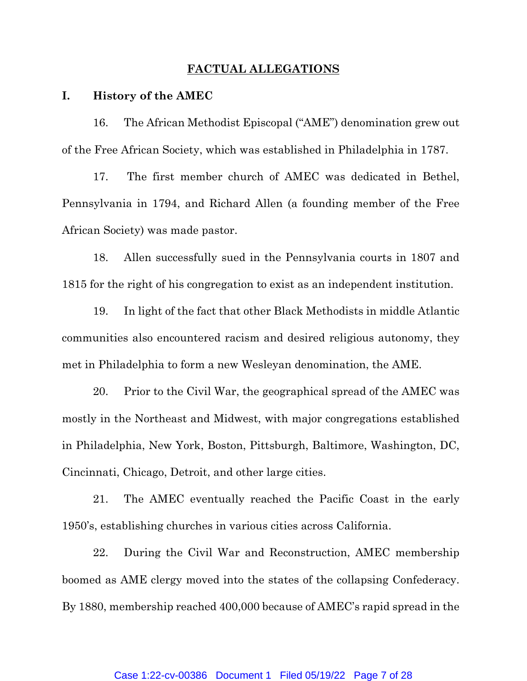## **FACTUAL ALLEGATIONS**

# **I. History of the AMEC**

16. The African Methodist Episcopal ("AME") denomination grew out of the Free African Society, which was established in Philadelphia in 1787.

17. The first member church of AMEC was dedicated in Bethel, Pennsylvania in 1794, and Richard Allen (a founding member of the Free African Society) was made pastor.

18. Allen successfully sued in the Pennsylvania courts in 1807 and 1815 for the right of his congregation to exist as an independent institution.

19. In light of the fact that other Black Methodists in middle Atlantic communities also encountered racism and desired religious autonomy, they met in Philadelphia to form a new Wesleyan denomination, the AME.

20. Prior to the Civil War, the geographical spread of the AMEC was mostly in the Northeast and Midwest, with major congregations established in Philadelphia, New York, Boston, Pittsburgh, Baltimore, Washington, DC, Cincinnati, Chicago, Detroit, and other large cities.

21. The AMEC eventually reached the Pacific Coast in the early 1950's, establishing churches in various cities across California.

22. During the Civil War and Reconstruction, AMEC membership boomed as AME clergy moved into the states of the collapsing Confederacy. By 1880, membership reached 400,000 because of AMEC's rapid spread in the

### Case 1:22-cv-00386 Document 1 Filed 05/19/22 Page 7 of 28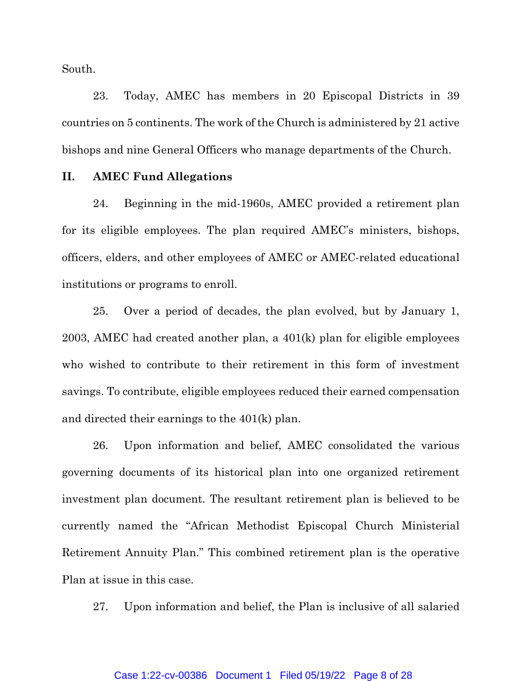South.

23. Today, AMEC has members in 20 Episcopal Districts in 39 countries on 5 continents. The work of the Church is administered by 21 active bishops and nine General Officers who manage departments of the Church.

# **II. AMEC Fund Allegations**

24. Beginning in the mid-1960s, AMEC provided a retirement plan for its eligible employees. The plan required AMEC's ministers, bishops, officers, elders, and other employees of AMEC or AMEC-related educational institutions or programs to enroll.

25. Over a period of decades, the plan evolved, but by January 1, 2003, AMEC had created another plan, a 401(k) plan for eligible employees who wished to contribute to their retirement in this form of investment savings. To contribute, eligible employees reduced their earned compensation and directed their earnings to the 401(k) plan.

26. Upon information and belief, AMEC consolidated the various governing documents of its historical plan into one organized retirement investment plan document. The resultant retirement plan is believed to be currently named the "African Methodist Episcopal Church Ministerial Retirement Annuity Plan." This combined retirement plan is the operative Plan at issue in this case.

27. Upon information and belief, the Plan is inclusive of all salaried

#### Case 1:22-cv-00386 Document 1 Filed 05/19/22 Page 8 of 28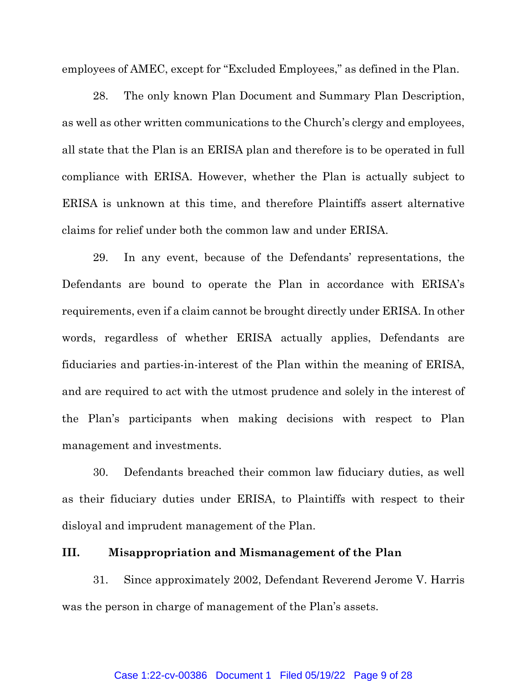employees of AMEC, except for "Excluded Employees," as defined in the Plan.

28. The only known Plan Document and Summary Plan Description, as well as other written communications to the Church's clergy and employees, all state that the Plan is an ERISA plan and therefore is to be operated in full compliance with ERISA. However, whether the Plan is actually subject to ERISA is unknown at this time, and therefore Plaintiffs assert alternative claims for relief under both the common law and under ERISA.

29. In any event, because of the Defendants' representations, the Defendants are bound to operate the Plan in accordance with ERISA's requirements, even if a claim cannot be brought directly under ERISA. In other words, regardless of whether ERISA actually applies, Defendants are fiduciaries and parties-in-interest of the Plan within the meaning of ERISA, and are required to act with the utmost prudence and solely in the interest of the Plan's participants when making decisions with respect to Plan management and investments.

30. Defendants breached their common law fiduciary duties, as well as their fiduciary duties under ERISA, to Plaintiffs with respect to their disloyal and imprudent management of the Plan.

# **III. Misappropriation and Mismanagement of the Plan**

31. Since approximately 2002, Defendant Reverend Jerome V. Harris was the person in charge of management of the Plan's assets.

#### Case 1:22-cv-00386 Document 1 Filed 05/19/22 Page 9 of 28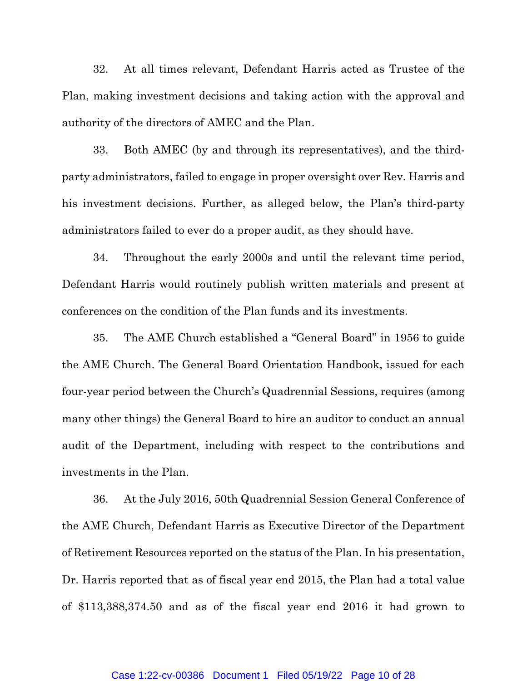32. At all times relevant, Defendant Harris acted as Trustee of the Plan, making investment decisions and taking action with the approval and authority of the directors of AMEC and the Plan.

33. Both AMEC (by and through its representatives), and the thirdparty administrators, failed to engage in proper oversight over Rev. Harris and his investment decisions. Further, as alleged below, the Plan's third-party administrators failed to ever do a proper audit, as they should have.

34. Throughout the early 2000s and until the relevant time period, Defendant Harris would routinely publish written materials and present at conferences on the condition of the Plan funds and its investments.

35. The AME Church established a "General Board" in 1956 to guide the AME Church. The General Board Orientation Handbook, issued for each four-year period between the Church's Quadrennial Sessions, requires (among many other things) the General Board to hire an auditor to conduct an annual audit of the Department, including with respect to the contributions and investments in the Plan.

36. At the July 2016, 50th Quadrennial Session General Conference of the AME Church, Defendant Harris as Executive Director of the Department of Retirement Resources reported on the status of the Plan. In his presentation, Dr. Harris reported that as of fiscal year end 2015, the Plan had a total value of \$113,388,374.50 and as of the fiscal year end 2016 it had grown to

#### Case 1:22-cv-00386 Document 1 Filed 05/19/22 Page 10 of 28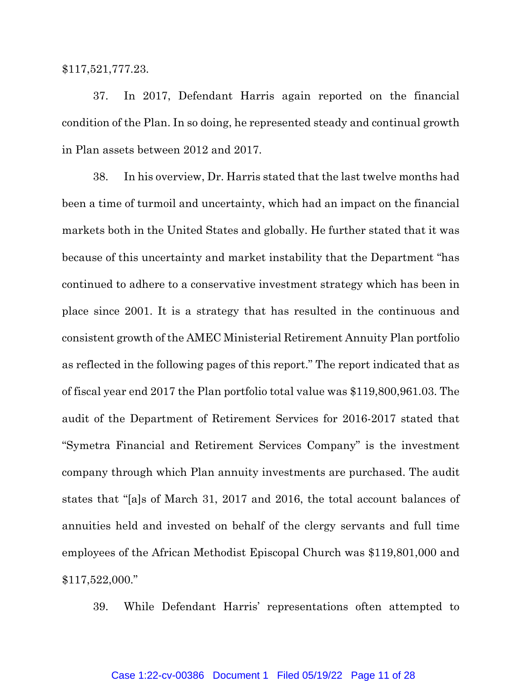#### \$117,521,777.23.

37. In 2017, Defendant Harris again reported on the financial condition of the Plan. In so doing, he represented steady and continual growth in Plan assets between 2012 and 2017.

38. In his overview, Dr. Harris stated that the last twelve months had been a time of turmoil and uncertainty, which had an impact on the financial markets both in the United States and globally. He further stated that it was because of this uncertainty and market instability that the Department "has continued to adhere to a conservative investment strategy which has been in place since 2001. It is a strategy that has resulted in the continuous and consistent growth of the AMEC Ministerial Retirement Annuity Plan portfolio as reflected in the following pages of this report." The report indicated that as of fiscal year end 2017 the Plan portfolio total value was \$119,800,961.03. The audit of the Department of Retirement Services for 2016-2017 stated that "Symetra Financial and Retirement Services Company" is the investment company through which Plan annuity investments are purchased. The audit states that "[a]s of March 31, 2017 and 2016, the total account balances of annuities held and invested on behalf of the clergy servants and full time employees of the African Methodist Episcopal Church was \$119,801,000 and \$117,522,000."

39. While Defendant Harris' representations often attempted to

### Case 1:22-cv-00386 Document 1 Filed 05/19/22 Page 11 of 28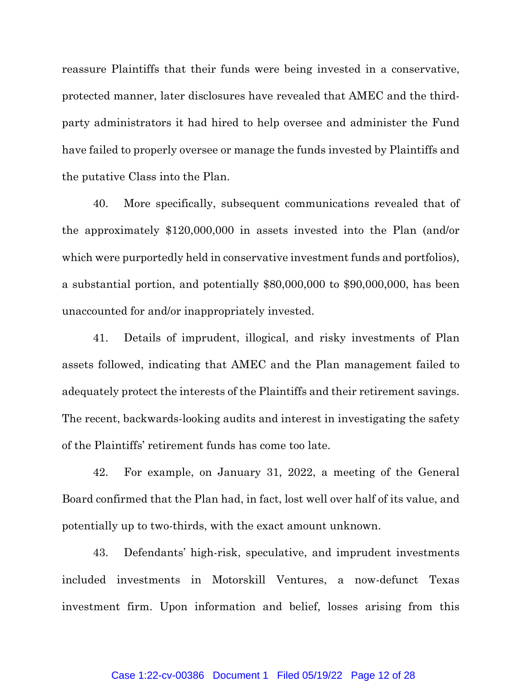reassure Plaintiffs that their funds were being invested in a conservative, protected manner, later disclosures have revealed that AMEC and the thirdparty administrators it had hired to help oversee and administer the Fund have failed to properly oversee or manage the funds invested by Plaintiffs and the putative Class into the Plan.

40. More specifically, subsequent communications revealed that of the approximately \$120,000,000 in assets invested into the Plan (and/or which were purportedly held in conservative investment funds and portfolios), a substantial portion, and potentially \$80,000,000 to \$90,000,000, has been unaccounted for and/or inappropriately invested.

41. Details of imprudent, illogical, and risky investments of Plan assets followed, indicating that AMEC and the Plan management failed to adequately protect the interests of the Plaintiffs and their retirement savings. The recent, backwards-looking audits and interest in investigating the safety of the Plaintiffs' retirement funds has come too late.

42. For example, on January 31, 2022, a meeting of the General Board confirmed that the Plan had, in fact, lost well over half of its value, and potentially up to two-thirds, with the exact amount unknown.

43. Defendants' high-risk, speculative, and imprudent investments included investments in Motorskill Ventures, a now-defunct Texas investment firm. Upon information and belief, losses arising from this

### Case 1:22-cv-00386 Document 1 Filed 05/19/22 Page 12 of 28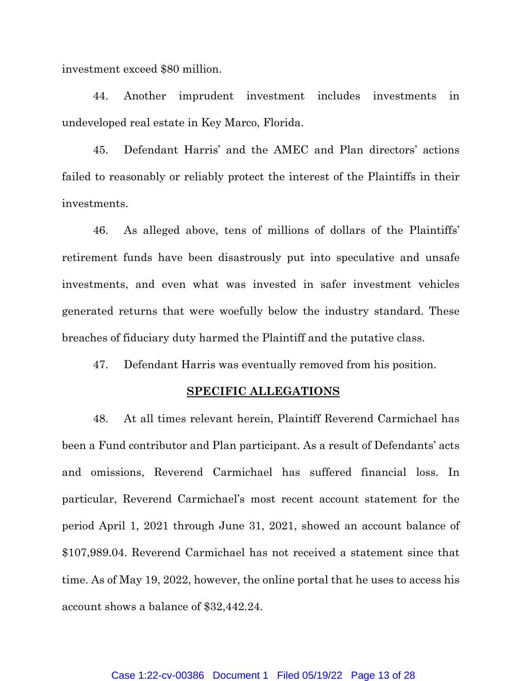investment exceed \$80 million.

44. Another imprudent investment includes investments in undeveloped real estate in Key Marco, Florida.

45. Defendant Harris' and the AMEC and Plan directors' actions failed to reasonably or reliably protect the interest of the Plaintiffs in their investments.

46. As alleged above, tens of millions of dollars of the Plaintiffs' retirement funds have been disastrously put into speculative and unsafe investments, and even what was invested in safer investment vehicles generated returns that were woefully below the industry standard. These breaches of fiduciary duty harmed the Plaintiff and the putative class.

47. Defendant Harris was eventually removed from his position.

### **SPECIFIC ALLEGATIONS**

48. At all times relevant herein, Plaintiff Reverend Carmichael has been a Fund contributor and Plan participant. As a result of Defendants' acts and omissions, Reverend Carmichael has suffered financial loss. In particular, Reverend Carmichael's most recent account statement for the period April 1, 2021 through June 31, 2021, showed an account balance of \$107,989.04. Reverend Carmichael has not received a statement since that time. As of May 19, 2022, however, the online portal that he uses to access his account shows a balance of \$32,442.24.

### Case 1:22-cv-00386 Document 1 Filed 05/19/22 Page 13 of 28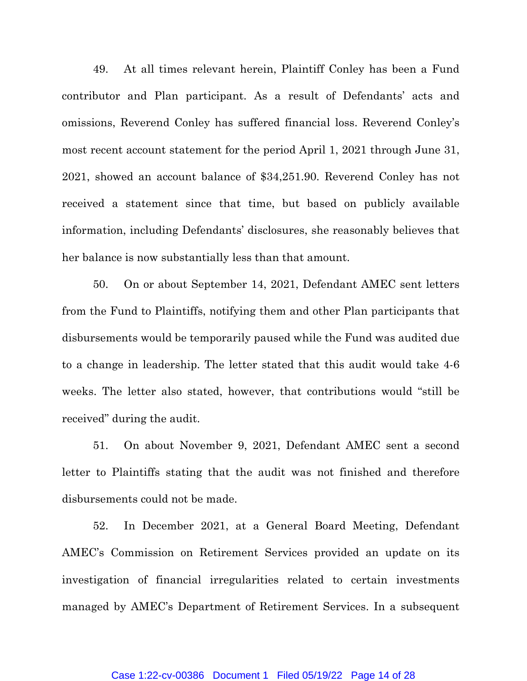49. At all times relevant herein, Plaintiff Conley has been a Fund contributor and Plan participant. As a result of Defendants' acts and omissions, Reverend Conley has suffered financial loss. Reverend Conley's most recent account statement for the period April 1, 2021 through June 31, 2021, showed an account balance of \$34,251.90. Reverend Conley has not received a statement since that time, but based on publicly available information, including Defendants' disclosures, she reasonably believes that her balance is now substantially less than that amount.

50. On or about September 14, 2021, Defendant AMEC sent letters from the Fund to Plaintiffs, notifying them and other Plan participants that disbursements would be temporarily paused while the Fund was audited due to a change in leadership. The letter stated that this audit would take 4-6 weeks. The letter also stated, however, that contributions would "still be received" during the audit.

51. On about November 9, 2021, Defendant AMEC sent a second letter to Plaintiffs stating that the audit was not finished and therefore disbursements could not be made.

52. In December 2021, at a General Board Meeting, Defendant AMEC's Commission on Retirement Services provided an update on its investigation of financial irregularities related to certain investments managed by AMEC's Department of Retirement Services. In a subsequent

### Case 1:22-cv-00386 Document 1 Filed 05/19/22 Page 14 of 28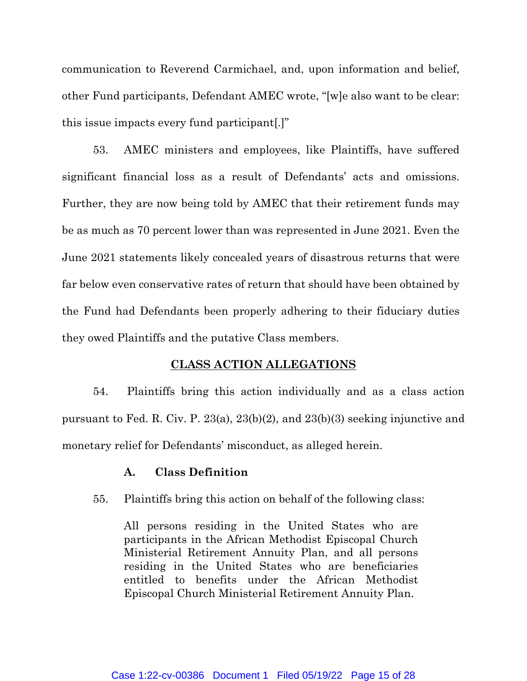communication to Reverend Carmichael, and, upon information and belief, other Fund participants, Defendant AMEC wrote, "[w]e also want to be clear: this issue impacts every fund participant[.]"

53. AMEC ministers and employees, like Plaintiffs, have suffered significant financial loss as a result of Defendants' acts and omissions. Further, they are now being told by AMEC that their retirement funds may be as much as 70 percent lower than was represented in June 2021. Even the June 2021 statements likely concealed years of disastrous returns that were far below even conservative rates of return that should have been obtained by the Fund had Defendants been properly adhering to their fiduciary duties they owed Plaintiffs and the putative Class members.

## **CLASS ACTION ALLEGATIONS**

54. Plaintiffs bring this action individually and as a class action pursuant to Fed. R. Civ. P. 23(a), 23(b)(2), and 23(b)(3) seeking injunctive and monetary relief for Defendants' misconduct, as alleged herein.

# **A. Class Definition**

55. Plaintiffs bring this action on behalf of the following class:

All persons residing in the United States who are participants in the African Methodist Episcopal Church Ministerial Retirement Annuity Plan, and all persons residing in the United States who are beneficiaries entitled to benefits under the African Methodist Episcopal Church Ministerial Retirement Annuity Plan.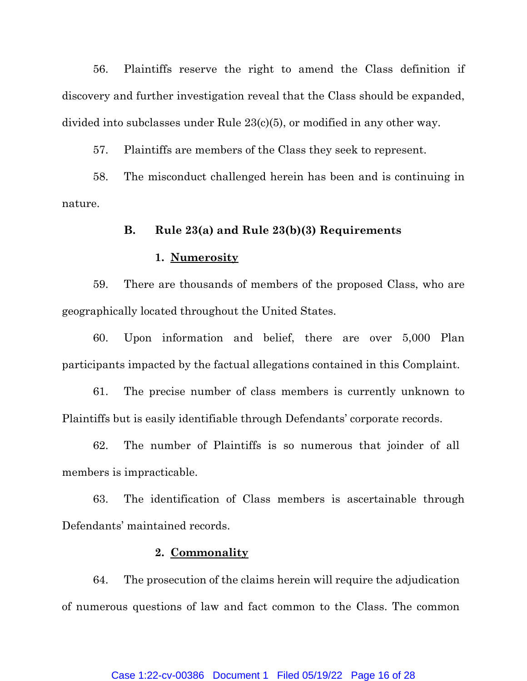56. Plaintiffs reserve the right to amend the Class definition if discovery and further investigation reveal that the Class should be expanded, divided into subclasses under Rule 23(c)(5), or modified in any other way.

57. Plaintiffs are members of the Class they seek to represent.

58. The misconduct challenged herein has been and is continuing in nature.

## **B. Rule 23(a) and Rule 23(b)(3) Requirements**

### **1. Numerosity**

59. There are thousands of members of the proposed Class, who are geographically located throughout the United States.

60. Upon information and belief, there are over 5,000 Plan participants impacted by the factual allegations contained in this Complaint.

61. The precise number of class members is currently unknown to Plaintiffs but is easily identifiable through Defendants' corporate records.

62. The number of Plaintiffs is so numerous that joinder of all members is impracticable.

63. The identification of Class members is ascertainable through Defendants' maintained records.

# **2. Commonality**

64. The prosecution of the claims herein will require the adjudication of numerous questions of law and fact common to the Class. The common

### Case 1:22-cv-00386 Document 1 Filed 05/19/22 Page 16 of 28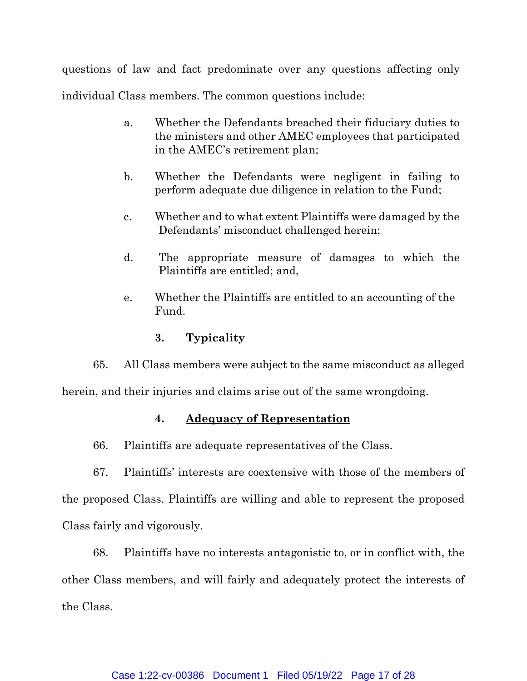questions of law and fact predominate over any questions affecting only individual Class members. The common questions include:

- a. Whether the Defendants breached their fiduciary duties to the ministers and other AMEC employees that participated in the AMEC's retirement plan;
- b. Whether the Defendants were negligent in failing to perform adequate due diligence in relation to the Fund;
- c. Whether and to what extent Plaintiffs were damaged by the Defendants' misconduct challenged herein;
- d. The appropriate measure of damages to which the Plaintiffs are entitled; and,
- e. Whether the Plaintiffs are entitled to an accounting of the Fund.

# **3. Typicality**

65. All Class members were subject to the same misconduct as alleged

herein, and their injuries and claims arise out of the same wrongdoing.

# **4. Adequacy of Representation**

66. Plaintiffs are adequate representatives of the Class.

67. Plaintiffs' interests are coextensive with those of the members of the proposed Class. Plaintiffs are willing and able to represent the proposed Class fairly and vigorously.

68. Plaintiffs have no interests antagonistic to, or in conflict with, the other Class members, and will fairly and adequately protect the interests of the Class.

## Case 1:22-cv-00386 Document 1 Filed 05/19/22 Page 17 of 28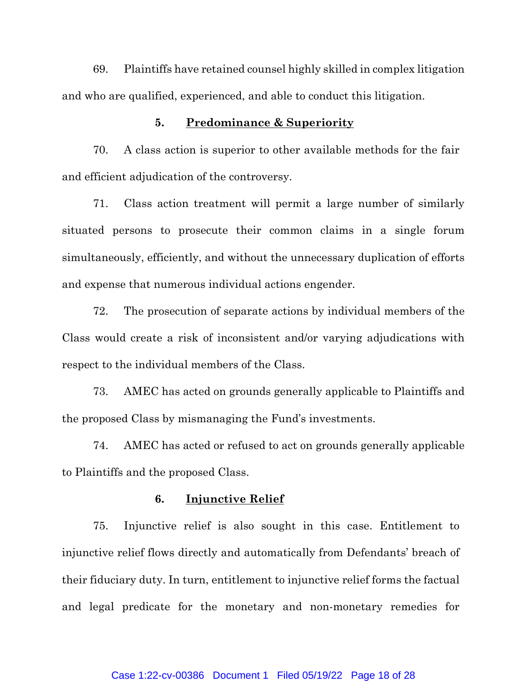69. Plaintiffs have retained counsel highly skilled in complex litigation and who are qualified, experienced, and able to conduct this litigation.

## **5. Predominance & Superiority**

70. A class action is superior to other available methods for the fair and efficient adjudication of the controversy.

71. Class action treatment will permit a large number of similarly situated persons to prosecute their common claims in a single forum simultaneously, efficiently, and without the unnecessary duplication of efforts and expense that numerous individual actions engender.

72. The prosecution of separate actions by individual members of the Class would create a risk of inconsistent and/or varying adjudications with respect to the individual members of the Class.

73. AMEC has acted on grounds generally applicable to Plaintiffs and the proposed Class by mismanaging the Fund's investments.

74. AMEC has acted or refused to act on grounds generally applicable to Plaintiffs and the proposed Class.

## **6. Injunctive Relief**

75. Injunctive relief is also sought in this case. Entitlement to injunctive relief flows directly and automatically from Defendants' breach of their fiduciary duty. In turn, entitlement to injunctive relief forms the factual and legal predicate for the monetary and non-monetary remedies for

#### Case 1:22-cv-00386 Document 1 Filed 05/19/22 Page 18 of 28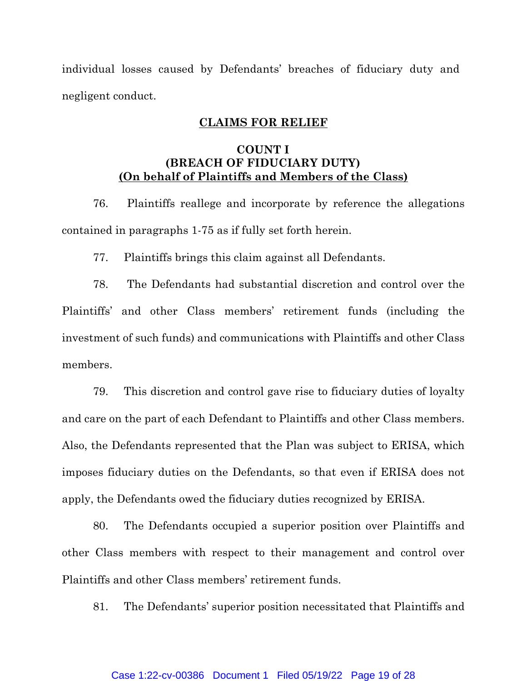individual losses caused by Defendants' breaches of fiduciary duty and negligent conduct.

## **CLAIMS FOR RELIEF**

# **COUNT I (BREACH OF FIDUCIARY DUTY) (On behalf of Plaintiffs and Members of the Class)**

76. Plaintiffs reallege and incorporate by reference the allegations contained in paragraphs 1-75 as if fully set forth herein.

77. Plaintiffs brings this claim against all Defendants.

78. The Defendants had substantial discretion and control over the Plaintiffs' and other Class members' retirement funds (including the investment of such funds) and communications with Plaintiffs and other Class members.

79. This discretion and control gave rise to fiduciary duties of loyalty and care on the part of each Defendant to Plaintiffs and other Class members. Also, the Defendants represented that the Plan was subject to ERISA, which imposes fiduciary duties on the Defendants, so that even if ERISA does not apply, the Defendants owed the fiduciary duties recognized by ERISA.

80. The Defendants occupied a superior position over Plaintiffs and other Class members with respect to their management and control over Plaintiffs and other Class members' retirement funds.

81. The Defendants' superior position necessitated that Plaintiffs and

### Case 1:22-cv-00386 Document 1 Filed 05/19/22 Page 19 of 28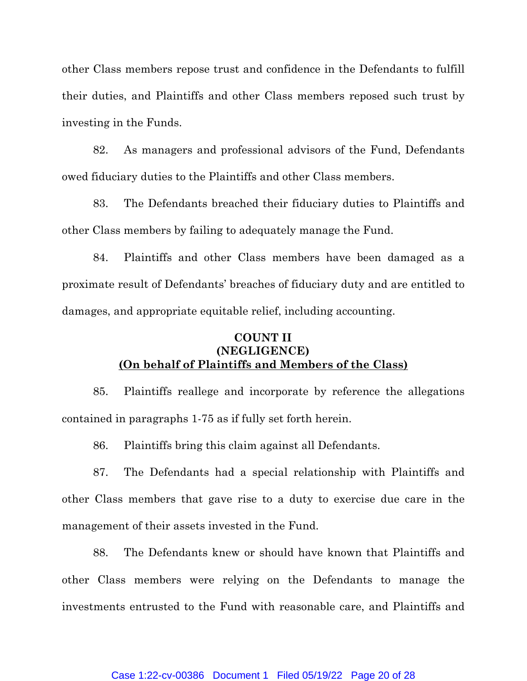other Class members repose trust and confidence in the Defendants to fulfill their duties, and Plaintiffs and other Class members reposed such trust by investing in the Funds.

82. As managers and professional advisors of the Fund, Defendants owed fiduciary duties to the Plaintiffs and other Class members.

83. The Defendants breached their fiduciary duties to Plaintiffs and other Class members by failing to adequately manage the Fund.

84. Plaintiffs and other Class members have been damaged as a proximate result of Defendants' breaches of fiduciary duty and are entitled to damages, and appropriate equitable relief, including accounting.

# **COUNT II (NEGLIGENCE) (On behalf of Plaintiffs and Members of the Class)**

85. Plaintiffs reallege and incorporate by reference the allegations contained in paragraphs 1-75 as if fully set forth herein.

86. Plaintiffs bring this claim against all Defendants.

87. The Defendants had a special relationship with Plaintiffs and other Class members that gave rise to a duty to exercise due care in the management of their assets invested in the Fund.

88. The Defendants knew or should have known that Plaintiffs and other Class members were relying on the Defendants to manage the investments entrusted to the Fund with reasonable care, and Plaintiffs and

### Case 1:22-cv-00386 Document 1 Filed 05/19/22 Page 20 of 28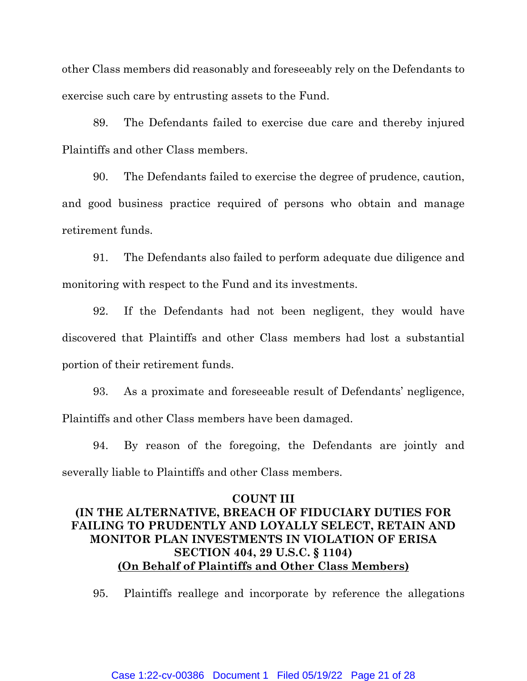other Class members did reasonably and foreseeably rely on the Defendants to exercise such care by entrusting assets to the Fund.

89. The Defendants failed to exercise due care and thereby injured Plaintiffs and other Class members.

90. The Defendants failed to exercise the degree of prudence, caution, and good business practice required of persons who obtain and manage retirement funds.

91. The Defendants also failed to perform adequate due diligence and monitoring with respect to the Fund and its investments.

92. If the Defendants had not been negligent, they would have discovered that Plaintiffs and other Class members had lost a substantial portion of their retirement funds.

93. As a proximate and foreseeable result of Defendants' negligence, Plaintiffs and other Class members have been damaged.

94. By reason of the foregoing, the Defendants are jointly and severally liable to Plaintiffs and other Class members.

# **COUNT III (IN THE ALTERNATIVE, BREACH OF FIDUCIARY DUTIES FOR FAILING TO PRUDENTLY AND LOYALLY SELECT, RETAIN AND MONITOR PLAN INVESTMENTS IN VIOLATION OF ERISA SECTION 404, 29 U.S.C. § 1104) (On Behalf of Plaintiffs and Other Class Members)**

95. Plaintiffs reallege and incorporate by reference the allegations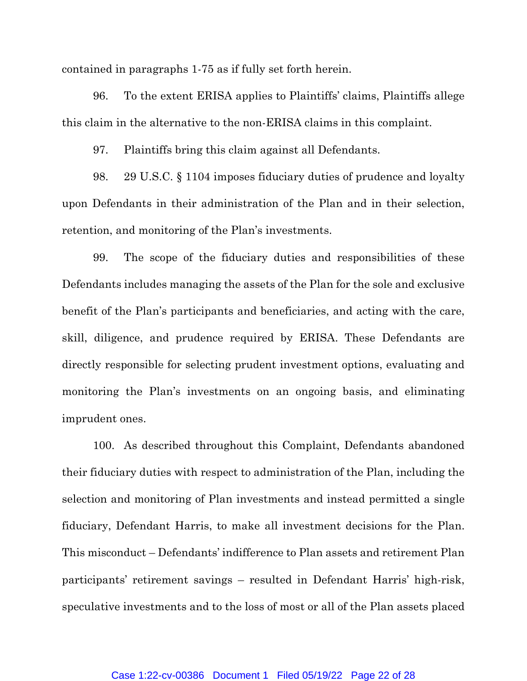contained in paragraphs 1-75 as if fully set forth herein.

96. To the extent ERISA applies to Plaintiffs' claims, Plaintiffs allege this claim in the alternative to the non-ERISA claims in this complaint.

97. Plaintiffs bring this claim against all Defendants.

98. 29 U.S.C. § 1104 imposes fiduciary duties of prudence and loyalty upon Defendants in their administration of the Plan and in their selection, retention, and monitoring of the Plan's investments.

99. The scope of the fiduciary duties and responsibilities of these Defendants includes managing the assets of the Plan for the sole and exclusive benefit of the Plan's participants and beneficiaries, and acting with the care, skill, diligence, and prudence required by ERISA. These Defendants are directly responsible for selecting prudent investment options, evaluating and monitoring the Plan's investments on an ongoing basis, and eliminating imprudent ones.

100. As described throughout this Complaint, Defendants abandoned their fiduciary duties with respect to administration of the Plan, including the selection and monitoring of Plan investments and instead permitted a single fiduciary, Defendant Harris, to make all investment decisions for the Plan. This misconduct – Defendants' indifference to Plan assets and retirement Plan participants' retirement savings – resulted in Defendant Harris' high-risk, speculative investments and to the loss of most or all of the Plan assets placed

#### Case 1:22-cv-00386 Document 1 Filed 05/19/22 Page 22 of 28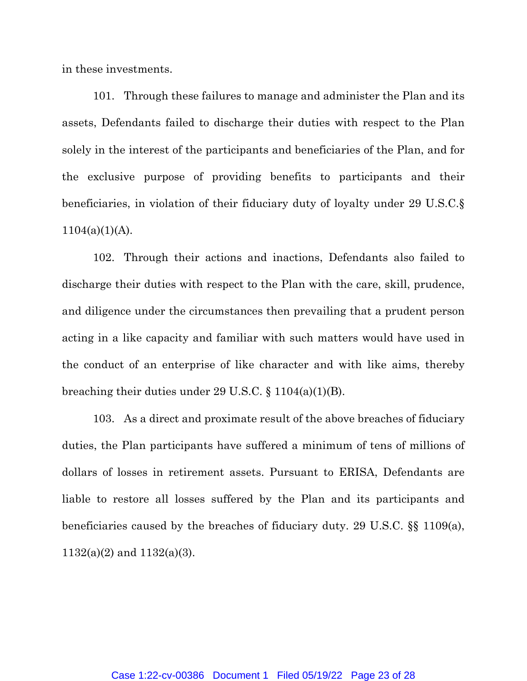in these investments.

101. Through these failures to manage and administer the Plan and its assets, Defendants failed to discharge their duties with respect to the Plan solely in the interest of the participants and beneficiaries of the Plan, and for the exclusive purpose of providing benefits to participants and their beneficiaries, in violation of their fiduciary duty of loyalty under 29 U.S.C.§  $1104(a)(1)(A)$ .

102. Through their actions and inactions, Defendants also failed to discharge their duties with respect to the Plan with the care, skill, prudence, and diligence under the circumstances then prevailing that a prudent person acting in a like capacity and familiar with such matters would have used in the conduct of an enterprise of like character and with like aims, thereby breaching their duties under 29 U.S.C.  $\S 1104(a)(1)(B)$ .

103. As a direct and proximate result of the above breaches of fiduciary duties, the Plan participants have suffered a minimum of tens of millions of dollars of losses in retirement assets. Pursuant to ERISA, Defendants are liable to restore all losses suffered by the Plan and its participants and beneficiaries caused by the breaches of fiduciary duty. 29 U.S.C. §§ 1109(a), 1132(a)(2) and 1132(a)(3).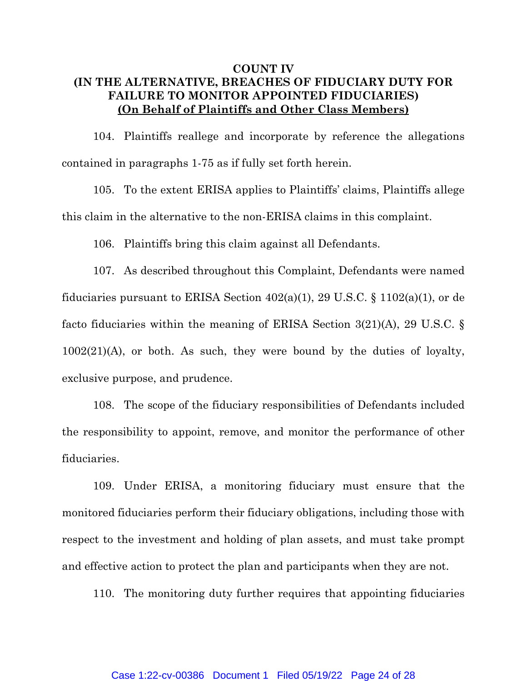# **COUNT IV (IN THE ALTERNATIVE, BREACHES OF FIDUCIARY DUTY FOR FAILURE TO MONITOR APPOINTED FIDUCIARIES) (On Behalf of Plaintiffs and Other Class Members)**

104. Plaintiffs reallege and incorporate by reference the allegations contained in paragraphs 1-75 as if fully set forth herein.

105. To the extent ERISA applies to Plaintiffs' claims, Plaintiffs allege this claim in the alternative to the non-ERISA claims in this complaint.

106. Plaintiffs bring this claim against all Defendants.

107. As described throughout this Complaint, Defendants were named fiduciaries pursuant to ERISA Section  $402(a)(1)$ , 29 U.S.C. § 1102(a)(1), or de facto fiduciaries within the meaning of ERISA Section 3(21)(A), 29 U.S.C. §  $1002(21)$ (A), or both. As such, they were bound by the duties of loyalty, exclusive purpose, and prudence.

108. The scope of the fiduciary responsibilities of Defendants included the responsibility to appoint, remove, and monitor the performance of other fiduciaries.

109. Under ERISA, a monitoring fiduciary must ensure that the monitored fiduciaries perform their fiduciary obligations, including those with respect to the investment and holding of plan assets, and must take prompt and effective action to protect the plan and participants when they are not.

110. The monitoring duty further requires that appointing fiduciaries

### Case 1:22-cv-00386 Document 1 Filed 05/19/22 Page 24 of 28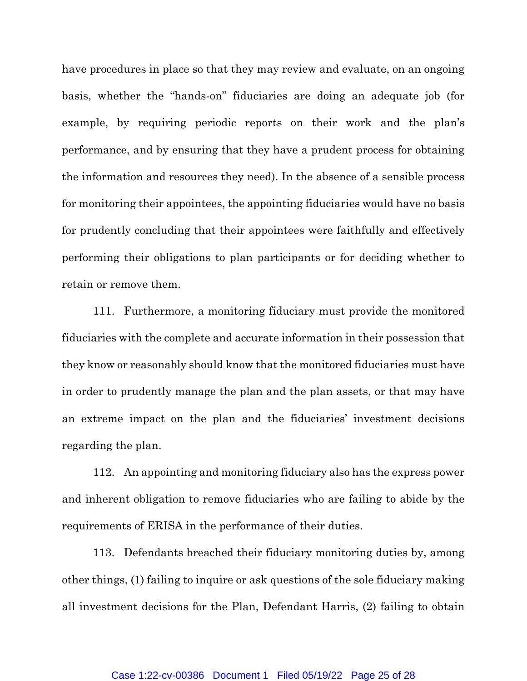have procedures in place so that they may review and evaluate, on an ongoing basis, whether the "hands-on" fiduciaries are doing an adequate job (for example, by requiring periodic reports on their work and the plan's performance, and by ensuring that they have a prudent process for obtaining the information and resources they need). In the absence of a sensible process for monitoring their appointees, the appointing fiduciaries would have no basis for prudently concluding that their appointees were faithfully and effectively performing their obligations to plan participants or for deciding whether to retain or remove them.

111. Furthermore, a monitoring fiduciary must provide the monitored fiduciaries with the complete and accurate information in their possession that they know or reasonably should know that the monitored fiduciaries must have in order to prudently manage the plan and the plan assets, or that may have an extreme impact on the plan and the fiduciaries' investment decisions regarding the plan.

112. An appointing and monitoring fiduciary also has the express power and inherent obligation to remove fiduciaries who are failing to abide by the requirements of ERISA in the performance of their duties.

113. Defendants breached their fiduciary monitoring duties by, among other things, (1) failing to inquire or ask questions of the sole fiduciary making all investment decisions for the Plan, Defendant Harris, (2) failing to obtain

#### Case 1:22-cv-00386 Document 1 Filed 05/19/22 Page 25 of 28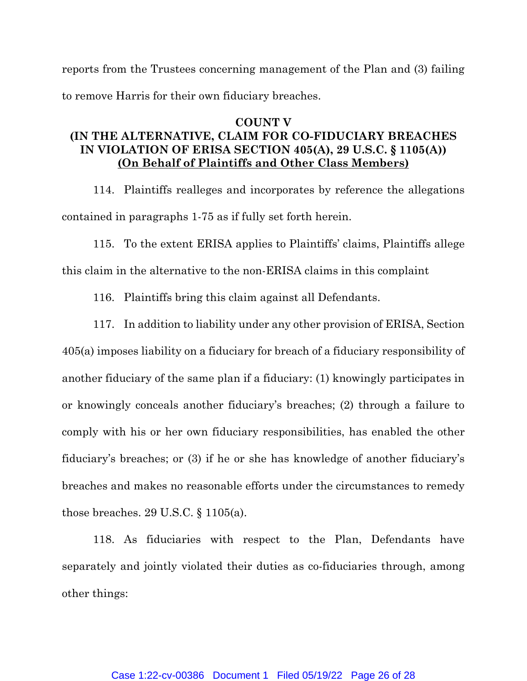reports from the Trustees concerning management of the Plan and (3) failing to remove Harris for their own fiduciary breaches.

# **COUNT V (IN THE ALTERNATIVE, CLAIM FOR CO-FIDUCIARY BREACHES IN VIOLATION OF ERISA SECTION 405(A), 29 U.S.C. § 1105(A)) (On Behalf of Plaintiffs and Other Class Members)**

114. Plaintiffs realleges and incorporates by reference the allegations contained in paragraphs 1-75 as if fully set forth herein.

115. To the extent ERISA applies to Plaintiffs' claims, Plaintiffs allege

this claim in the alternative to the non-ERISA claims in this complaint

116. Plaintiffs bring this claim against all Defendants.

117. In addition to liability under any other provision of ERISA, Section 405(a) imposes liability on a fiduciary for breach of a fiduciary responsibility of another fiduciary of the same plan if a fiduciary: (1) knowingly participates in or knowingly conceals another fiduciary's breaches; (2) through a failure to comply with his or her own fiduciary responsibilities, has enabled the other fiduciary's breaches; or (3) if he or she has knowledge of another fiduciary's breaches and makes no reasonable efforts under the circumstances to remedy those breaches. 29 U.S.C. § 1105(a).

118. As fiduciaries with respect to the Plan, Defendants have separately and jointly violated their duties as co-fiduciaries through, among other things: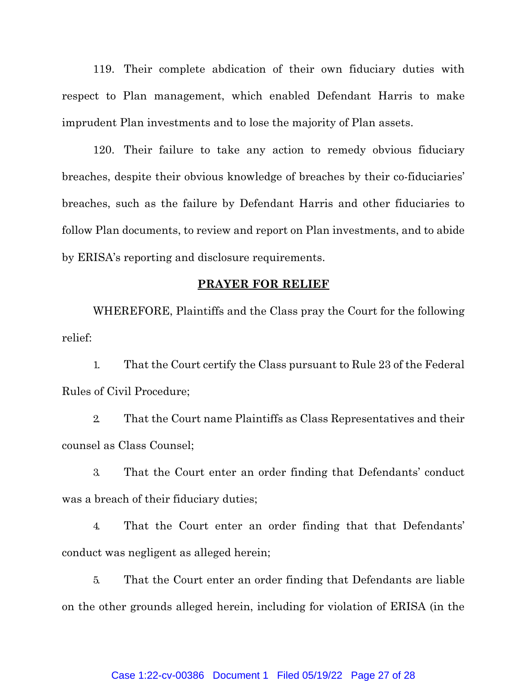119. Their complete abdication of their own fiduciary duties with respect to Plan management, which enabled Defendant Harris to make imprudent Plan investments and to lose the majority of Plan assets.

120. Their failure to take any action to remedy obvious fiduciary breaches, despite their obvious knowledge of breaches by their co-fiduciaries' breaches, such as the failure by Defendant Harris and other fiduciaries to follow Plan documents, to review and report on Plan investments, and to abide by ERISA's reporting and disclosure requirements.

### **PRAYER FOR RELIEF**

WHEREFORE, Plaintiffs and the Class pray the Court for the following relief:

1. That the Court certify the Class pursuant to Rule 23 of the Federal Rules of Civil Procedure;

2. That the Court name Plaintiffs as Class Representatives and their counsel as Class Counsel;

3. That the Court enter an order finding that Defendants' conduct was a breach of their fiduciary duties;

4. That the Court enter an order finding that that Defendants' conduct was negligent as alleged herein;

5. That the Court enter an order finding that Defendants are liable on the other grounds alleged herein, including for violation of ERISA (in the

#### Case 1:22-cv-00386 Document 1 Filed 05/19/22 Page 27 of 28